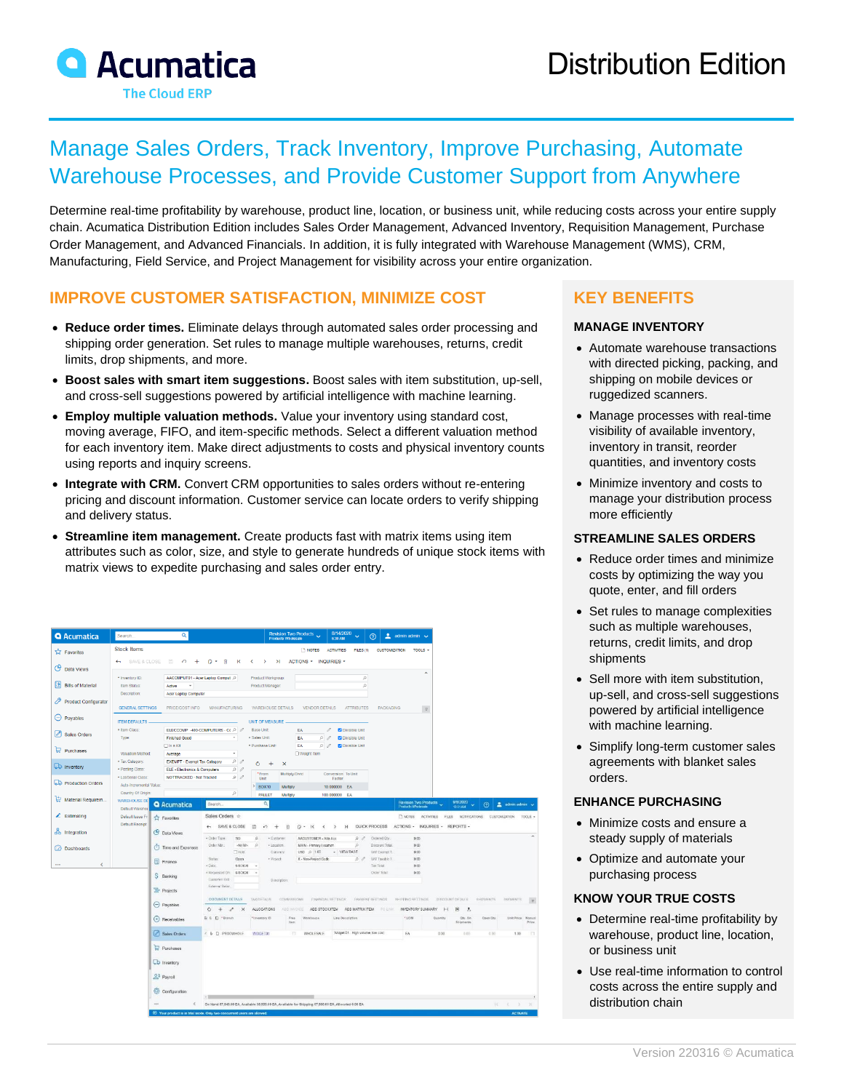# Manage Sales Orders, Track Inventory, Improve Purchasing, Automate Warehouse Processes, and Provide Customer Support from Anywhere

Determine real-time profitability by warehouse, product line, location, or business unit, while reducing costs across your entire supply chain. Acumatica Distribution Edition includes Sales Order Management, Advanced Inventory, Requisition Management, Purchase Order Management, and Advanced Financials. In addition, it is fully integrated with Warehouse Management (WMS), CRM, Manufacturing, Field Service, and Project Management for visibility across your entire organization.

# **IMPROVE CUSTOMER SATISFACTION, MINIMIZE COST**

- **Reduce order times.** Eliminate delays through automated sales order processing and shipping order generation. Set rules to manage multiple warehouses, returns, credit limits, drop shipments, and more.
- **Boost sales with smart item suggestions.** Boost sales with item substitution, up-sell, and cross-sell suggestions powered by artificial intelligence with machine learning.
- **Employ multiple valuation methods.** Value your inventory using standard cost, moving average, FIFO, and item-specific methods. Select a different valuation method for each inventory item. Make direct adjustments to costs and physical inventory counts using reports and inquiry screens.
- **Integrate with CRM.** Convert CRM opportunities to sales orders without re-entering pricing and discount information. Customer service can locate orders to verify shipping and delivery status.
- **Streamline item management.** Create products fast with matrix items using item attributes such as color, size, and style to generate hundreds of unique stock items with matrix views to expedite purchasing and sales order entry.

| <b>Q</b> Acumatica               | Search.                                 | Q                                                         |                                             |                                     | Revision Two Products<br>Products Wholesale | 8/14/2020<br>6:30 AM                  | $2$ admin admin $\sqrt{ }$<br>の                      |                                             |                                        |                  |                         |
|----------------------------------|-----------------------------------------|-----------------------------------------------------------|---------------------------------------------|-------------------------------------|---------------------------------------------|---------------------------------------|------------------------------------------------------|---------------------------------------------|----------------------------------------|------------------|-------------------------|
| <b>TA Favorites</b>              | <b>Stock Items</b>                      |                                                           |                                             |                                     | <b>NOTES</b>                                | <b>ACTIVITIES</b><br><b>FILES (1)</b> | <b>CUSTOMIZATION</b>                                 | TOOLS -                                     |                                        |                  |                         |
| ဇ<br>Data Views                  | SAVE & CLOSE<br>$\leftarrow$            | 周<br>∽                                                    | n<br>尙<br>к                                 | $\lambda$<br>$\mathbf{\bar{}}$      | ACTIONS *                                   | INQUIRIES -                           |                                                      |                                             |                                        |                  |                         |
|                                  | · Inventory ID:                         |                                                           | AACOMPUT01 - Acer Laptop Comput P           | Product Workgroup:                  |                                             | ρ                                     |                                                      | $\hat{ }$                                   |                                        |                  |                         |
| 囼<br><b>Bills of Material</b>    | Item Status:                            | Active<br>$\;$                                            |                                             | Product Manager:                    |                                             | $\beta$                               |                                                      |                                             |                                        |                  |                         |
|                                  | Description:                            | Acer Laptop Computer                                      |                                             |                                     |                                             |                                       |                                                      |                                             |                                        |                  |                         |
| ₽<br><b>Product Configurator</b> | <b>GENERAL SETTINGS</b>                 | PRICE/COST INFO                                           | <b>MANUFACTURING</b>                        | <b>WAREHOUSE DETAILS</b>            | <b>VENDOR DETAILS</b>                       | <b>ATTRIBUTES</b>                     | <b>PACKAGING</b>                                     | $\mathcal{D}$                               |                                        |                  |                         |
| $\ominus$ Payables               | <b>ITEM DEFAULTS.</b>                   |                                                           |                                             | UNIT OF MEASURE                     |                                             |                                       |                                                      |                                             |                                        |                  |                         |
| $\mathscr{O}$<br>Sales Orders    | * Item Class:                           |                                                           | ELECCOMP -400-COMPUTERS - Ct P 2            | <b>Base Unit</b>                    | EA                                          | 0<br>O Divisible Unit                 |                                                      |                                             |                                        |                  |                         |
|                                  | Type:                                   | <b>Finished Good</b>                                      | $\sim$                                      | · Sales Unit:                       | EA                                          | $\Omega$<br>C Divisible Unit<br>00    |                                                      |                                             |                                        |                  |                         |
| Purchases                        | Valuation Method:                       | $\Box$ Is a Kit<br>Average                                | ٠                                           | * Purchase Unit:                    | EA<br>O Weight Item                         | C Divisible Unit                      |                                                      |                                             |                                        |                  |                         |
| <b>LD</b> Inventory              | * Tax Category:                         | EXEMPT - Exempt Tax Category                              | $\rho$                                      | Ō<br>$\ddot{}$<br>$\times$          |                                             |                                       |                                                      |                                             |                                        |                  |                         |
|                                  | · Posting Class:<br>· Lot/Serial Class: | ELE - Electronics & Computers<br>NOTTRACKED - Not Tracked | $\rho$<br>$\rho$                            | *From                               | Multiply/Divid                              | Conversion To Unit                    |                                                      |                                             |                                        |                  |                         |
| <b>D</b> Production Orders       | Auto-Incremental Value:                 |                                                           |                                             | Unit<br><b>BOX10</b>                | Multiply                                    | Factor<br>10.000000 EA                |                                                      |                                             |                                        |                  |                         |
|                                  | Country Of Origin:                      |                                                           | ø                                           | <b>PALLET</b>                       | Multiply                                    | 100.000000 EA                         |                                                      |                                             |                                        |                  |                         |
| Material Requirem                | <b>WAREHOUSE DE</b><br>Default Warehor  | <b>Q</b> Acumatica                                        | Search.                                     | $\alpha$                            |                                             |                                       |                                                      | Revision Two Products<br>Products Wholesale | 9/8/2020                               | $\odot$          | admin admin             |
| $\angle$ Estimating              | Default Issue Fn                        | <b>E</b> Favorites                                        | Sales Orders $\div$                         |                                     |                                             |                                       | <b>ENOTES</b>                                        | <b>ACTIVITIES</b>                           | FLES NOTIFICATIONS CUSTOMZATION        |                  | TOOLS -                 |
|                                  | Default Receipt                         |                                                           | SAVE & CLOSE                                | a<br>V)<br>$\overline{+}$           | $\left\langle$                              | $\lambda$                             | QUICK PROCESS                                        | ACTIONS - INQUIRIES - REPORTS -             |                                        |                  |                         |
| do Integration                   |                                         | <b>C</b> Data Views                                       | · Order Type<br>so                          | · Gustomer<br>$\circ$               | AACUSTOMER - Alla Ace                       | D                                     | Ordered Qty                                          | 0.00                                        |                                        |                  |                         |
| (2) Dashboards                   |                                         | (1) Time and Expenses                                     | Cedar Mor.<br>-NEWs<br>THOM                 | $\Omega$<br>* Location<br>Custavice | MAIN - Primary Location<br>USD 0 1.00       | $\circ$<br>- VIEW BASE                | Discount Total<br>WAT Excend T.                      | a ces<br>0.00                               |                                        |                  |                         |
|                                  |                                         |                                                           |                                             |                                     |                                             |                                       |                                                      |                                             |                                        |                  |                         |
|                                  |                                         |                                                           | Status<br>Open                              | · Project                           | X - Non-Project Code                        | 0.0                                   | Will Israble 1                                       | 0.00                                        |                                        |                  |                         |
| $\epsilon$<br>                   |                                         | Finance                                                   | a Piatei<br>9/8/2020                        | 19                                  |                                             |                                       | Tax Total                                            | 0.00                                        |                                        |                  |                         |
|                                  |                                         | S Banking                                                 | · Requested On: 9/8/2020<br>Customier civil | <b>Description</b>                  |                                             |                                       | Order Total                                          | 0.00                                        |                                        |                  |                         |
|                                  |                                         | Projects                                                  | External Refer.                             |                                     |                                             |                                       |                                                      |                                             |                                        |                  |                         |
|                                  |                                         |                                                           | DOCUMENT DETAILS                            | TAX DETAILS                         | COMMISSIONS                                 | <b>ENANGIAL SETTINGS</b>              | <b><i>INVIVENT SETTINGS</i></b><br>SHIPPING SETTINGS |                                             | DISCOUNT DETAILS                       | <b>SHIPMENTS</b> | <b><i>INVIAENTS</i></b> |
|                                  |                                         | $\ominus$ Payables                                        | $\circ$<br>$\times$<br>$+$<br>×             | <b>ALLOCATIONS</b>                  | <b>AOD INVOICE</b>                          | ADD STOCK ITEM ADD MATRIX ITEM        | <b>POLINE</b>                                        | INVENTORY SUMMARY<br>$\left  - \right $     | $\vert\mathbf{x}\vert$<br>$\mathbf{J}$ |                  |                         |
|                                  |                                         | ← Receivables                                             | B G D "Branch                               | linversory ID                       | Free<br>Warehouse<br>Item                   | Line Description                      | *ucw                                                 | Quantity                                    | Qtr. On<br>Shipments                   | Open City.       | Unit Price Manual       |
|                                  |                                         | Sales Orders                                              | < 0 D PRODWHOLE                             | <b>WOGET01</b>                      | <b>WHOLESALE</b><br>TT.                     | Widget 01 High volume, low cost       | EA                                                   | 0.00                                        | 0.00                                   | 0.00             | 1.00                    |
|                                  |                                         | Purchases                                                 |                                             |                                     |                                             |                                       |                                                      |                                             |                                        |                  |                         |
|                                  |                                         | b Inventory                                               |                                             |                                     |                                             |                                       |                                                      |                                             |                                        |                  |                         |
|                                  |                                         |                                                           |                                             |                                     |                                             |                                       |                                                      |                                             |                                        |                  |                         |
|                                  |                                         | os Payroll                                                |                                             |                                     |                                             |                                       |                                                      |                                             |                                        |                  |                         |
|                                  |                                         | Configuration                                             |                                             |                                     |                                             |                                       |                                                      |                                             |                                        |                  |                         |

# **KEY BENEFITS**

#### **MANAGE INVENTORY**

- Automate warehouse transactions with directed picking, packing, and shipping on mobile devices or ruggedized scanners.
- Manage processes with real-time visibility of available inventory, inventory in transit, reorder quantities, and inventory costs
- Minimize inventory and costs to manage your distribution process more efficiently

## **STREAMLINE SALES ORDERS**

- Reduce order times and minimize costs by optimizing the way you quote, enter, and fill orders
- Set rules to manage complexities such as multiple warehouses, returns, credit limits, and drop shipments
- Sell more with item substitution, up-sell, and cross-sell suggestions powered by artificial intelligence with machine learning.
- Simplify long-term customer sales agreements with blanket sales orders.

#### **ENHANCE PURCHASING**

- Minimize costs and ensure a steady supply of materials
- Optimize and automate your purchasing process

## **KNOW YOUR TRUE COSTS**

- Determine real-time profitability by warehouse, product line, location, or business unit
- Use real-time information to control costs across the entire supply and distribution chain